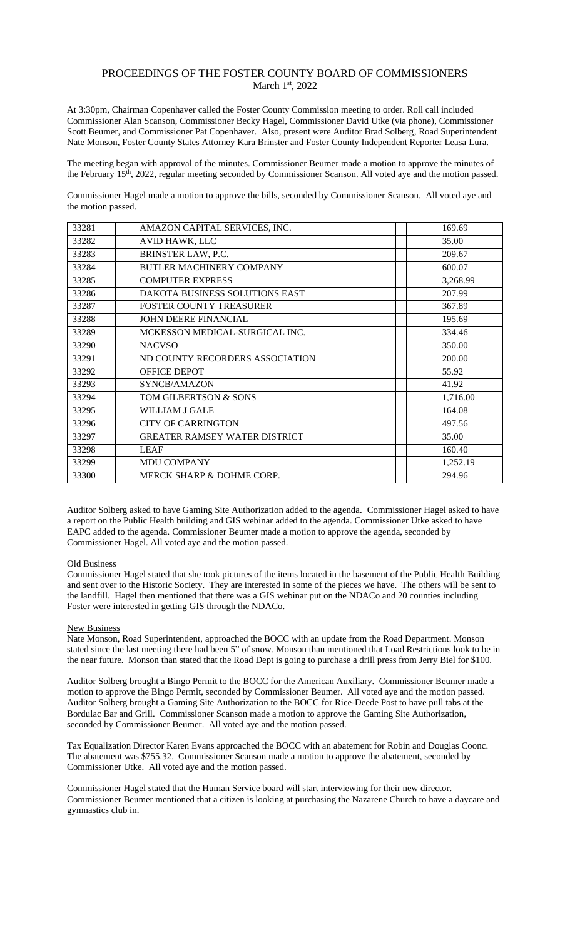## PROCEEDINGS OF THE FOSTER COUNTY BOARD OF COMMISSIONERS March 1<sup>st</sup>, 2022

At 3:30pm, Chairman Copenhaver called the Foster County Commission meeting to order. Roll call included Commissioner Alan Scanson, Commissioner Becky Hagel, Commissioner David Utke (via phone), Commissioner Scott Beumer, and Commissioner Pat Copenhaver. Also, present were Auditor Brad Solberg, Road Superintendent Nate Monson, Foster County States Attorney Kara Brinster and Foster County Independent Reporter Leasa Lura.

The meeting began with approval of the minutes. Commissioner Beumer made a motion to approve the minutes of the February 15th , 2022, regular meeting seconded by Commissioner Scanson. All voted aye and the motion passed.

Commissioner Hagel made a motion to approve the bills, seconded by Commissioner Scanson. All voted aye and the motion passed.

| 33281 | AMAZON CAPITAL SERVICES, INC.         | 169.69   |
|-------|---------------------------------------|----------|
| 33282 | AVID HAWK, LLC                        | 35.00    |
| 33283 | BRINSTER LAW, P.C.                    | 209.67   |
| 33284 | <b>BUTLER MACHINERY COMPANY</b>       | 600.07   |
| 33285 | <b>COMPUTER EXPRESS</b>               | 3,268.99 |
| 33286 | <b>DAKOTA BUSINESS SOLUTIONS EAST</b> | 207.99   |
| 33287 | <b>FOSTER COUNTY TREASURER</b>        | 367.89   |
| 33288 | JOHN DEERE FINANCIAL                  | 195.69   |
| 33289 | MCKESSON MEDICAL-SURGICAL INC.        | 334.46   |
| 33290 | <b>NACVSO</b>                         | 350.00   |
| 33291 | ND COUNTY RECORDERS ASSOCIATION       | 200.00   |
| 33292 | <b>OFFICE DEPOT</b>                   | 55.92    |
| 33293 | SYNCB/AMAZON                          | 41.92    |
| 33294 | TOM GILBERTSON & SONS                 | 1,716.00 |
| 33295 | <b>WILLIAM J GALE</b>                 | 164.08   |
| 33296 | <b>CITY OF CARRINGTON</b>             | 497.56   |
| 33297 | <b>GREATER RAMSEY WATER DISTRICT</b>  | 35.00    |
| 33298 | <b>LEAF</b>                           | 160.40   |
| 33299 | MDU COMPANY                           | 1,252.19 |
| 33300 | MERCK SHARP & DOHME CORP.             | 294.96   |

Auditor Solberg asked to have Gaming Site Authorization added to the agenda. Commissioner Hagel asked to have a report on the Public Health building and GIS webinar added to the agenda. Commissioner Utke asked to have EAPC added to the agenda. Commissioner Beumer made a motion to approve the agenda, seconded by Commissioner Hagel. All voted aye and the motion passed.

## Old Business

Commissioner Hagel stated that she took pictures of the items located in the basement of the Public Health Building and sent over to the Historic Society. They are interested in some of the pieces we have. The others will be sent to the landfill. Hagel then mentioned that there was a GIS webinar put on the NDACo and 20 counties including Foster were interested in getting GIS through the NDACo.

## New Business

Nate Monson, Road Superintendent, approached the BOCC with an update from the Road Department. Monson stated since the last meeting there had been 5" of snow. Monson than mentioned that Load Restrictions look to be in the near future. Monson than stated that the Road Dept is going to purchase a drill press from Jerry Biel for \$100.

Auditor Solberg brought a Bingo Permit to the BOCC for the American Auxiliary. Commissioner Beumer made a motion to approve the Bingo Permit, seconded by Commissioner Beumer. All voted aye and the motion passed. Auditor Solberg brought a Gaming Site Authorization to the BOCC for Rice-Deede Post to have pull tabs at the Bordulac Bar and Grill. Commissioner Scanson made a motion to approve the Gaming Site Authorization, seconded by Commissioner Beumer. All voted aye and the motion passed.

Tax Equalization Director Karen Evans approached the BOCC with an abatement for Robin and Douglas Coonc. The abatement was \$755.32. Commissioner Scanson made a motion to approve the abatement, seconded by Commissioner Utke. All voted aye and the motion passed.

Commissioner Hagel stated that the Human Service board will start interviewing for their new director. Commissioner Beumer mentioned that a citizen is looking at purchasing the Nazarene Church to have a daycare and gymnastics club in.